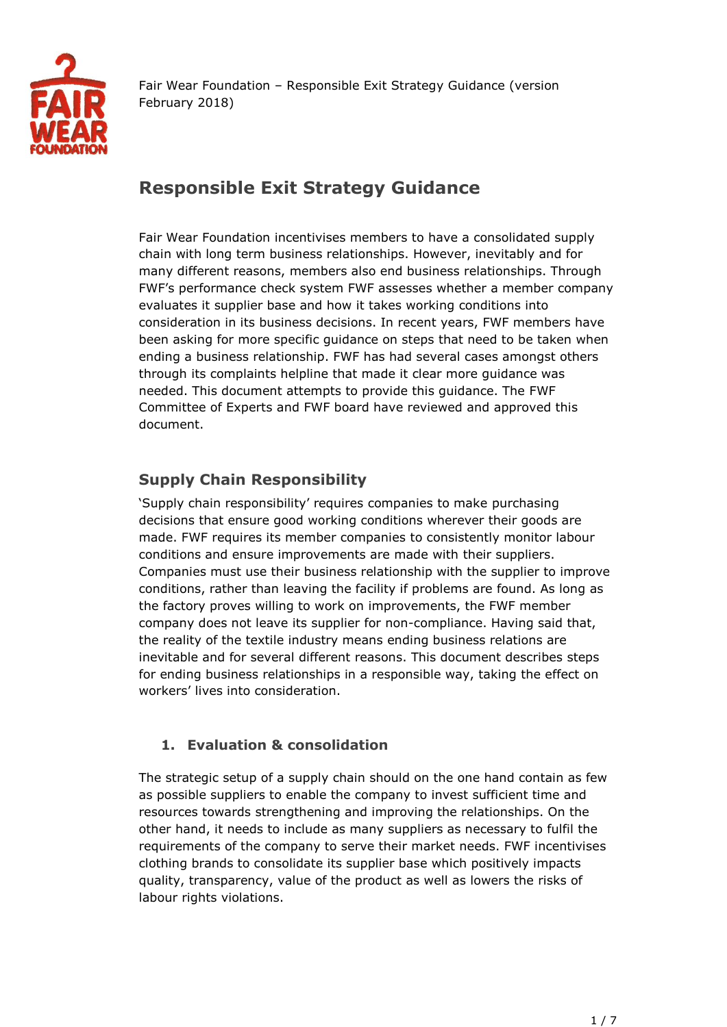

# **Responsible Exit Strategy Guidance**

Fair Wear Foundation incentivises members to have a consolidated supply chain with long term business relationships. However, inevitably and for many different reasons, members also end business relationships. Through FWF's performance check system FWF assesses whether a member company evaluates it supplier base and how it takes working conditions into consideration in its business decisions. In recent years, FWF members have been asking for more specific guidance on steps that need to be taken when ending a business relationship. FWF has had several cases amongst others through its complaints helpline that made it clear more guidance was needed. This document attempts to provide this guidance. The FWF Committee of Experts and FWF board have reviewed and approved this document.

# **Supply Chain Responsibility**

'Supply chain responsibility' requires companies to make purchasing decisions that ensure good working conditions wherever their goods are made. FWF requires its member companies to consistently monitor labour conditions and ensure improvements are made with their suppliers. Companies must use their business relationship with the supplier to improve conditions, rather than leaving the facility if problems are found. As long as the factory proves willing to work on improvements, the FWF member company does not leave its supplier for non-compliance. Having said that, the reality of the textile industry means ending business relations are inevitable and for several different reasons. This document describes steps for ending business relationships in a responsible way, taking the effect on workers' lives into consideration.

## **1. Evaluation & consolidation**

The strategic setup of a supply chain should on the one hand contain as few as possible suppliers to enable the company to invest sufficient time and resources towards strengthening and improving the relationships. On the other hand, it needs to include as many suppliers as necessary to fulfil the requirements of the company to serve their market needs. FWF incentivises clothing brands to consolidate its supplier base which positively impacts quality, transparency, value of the product as well as lowers the risks of labour rights violations.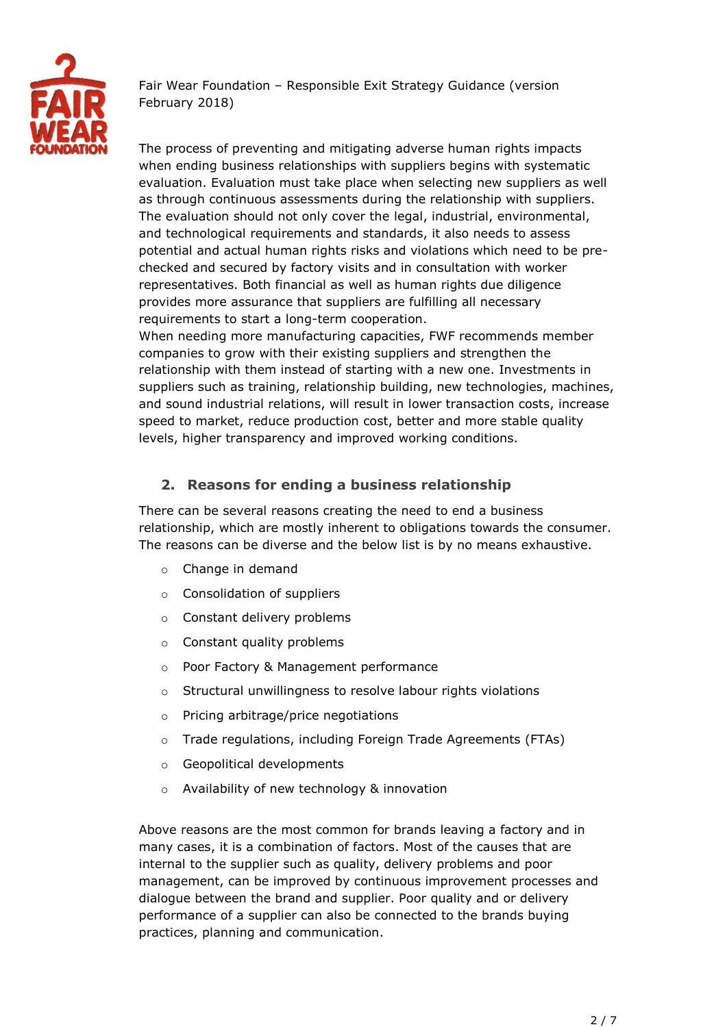

The process of preventing and mitigating adverse human rights impacts when ending business relationships with suppliers begins with systematic evaluation. Evaluation must take place when selecting new suppliers as well as through continuous assessments during the relationship with suppliers. The evaluation should not only cover the legal, industrial, environmental, and technological requirements and standards, it also needs to assess potential and actual human rights risks and violations which need to be prechecked and secured by factory visits and in consultation with worker representatives. Both financial as well as human rights due diligence provides more assurance that suppliers are fulfilling all necessary requirements to start a long-term cooperation.

When needing more manufacturing capacities, FWF recommends member companies to grow with their existing suppliers and strengthen the relationship with them instead of starting with a new one. Investments in suppliers such as training, relationship building, new technologies, machines, and sound industrial relations, will result in lower transaction costs, increase speed to market, reduce production cost, better and more stable quality levels, higher transparency and improved working conditions.

#### **2. Reasons for ending a business relationship**

There can be several reasons creating the need to end a business relationship, which are mostly inherent to obligations towards the consumer. The reasons can be diverse and the below list is by no means exhaustive.

- o Change in demand
- o Consolidation of suppliers
- o Constant delivery problems
- o Constant quality problems
- o Poor Factory & Management performance
- o Structural unwillingness to resolve labour rights violations
- o Pricing arbitrage/price negotiations
- o Trade regulations, including Foreign Trade Agreements (FTAs)
- o Geopolitical developments
- o Availability of new technology & innovation

Above reasons are the most common for brands leaving a factory and in many cases, it is a combination of factors. Most of the causes that are internal to the supplier such as quality, delivery problems and poor management, can be improved by continuous improvement processes and dialogue between the brand and supplier. Poor quality and or delivery performance of a supplier can also be connected to the brands buying practices, planning and communication.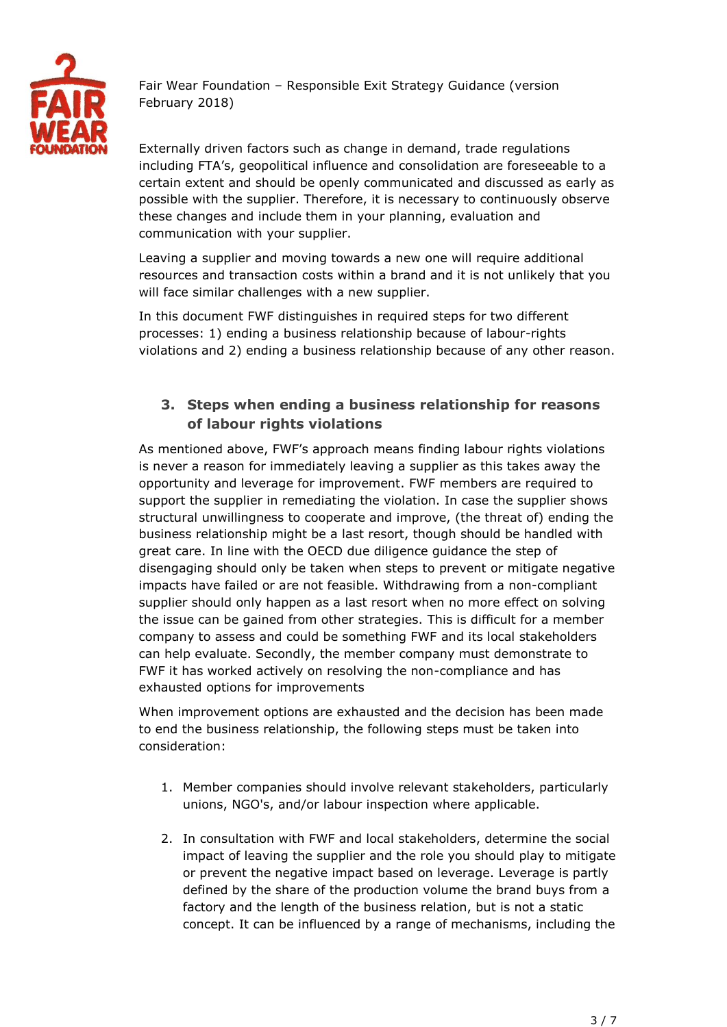

Externally driven factors such as change in demand, trade regulations including FTA's, geopolitical influence and consolidation are foreseeable to a certain extent and should be openly communicated and discussed as early as possible with the supplier. Therefore, it is necessary to continuously observe these changes and include them in your planning, evaluation and communication with your supplier.

Leaving a supplier and moving towards a new one will require additional resources and transaction costs within a brand and it is not unlikely that you will face similar challenges with a new supplier.

In this document FWF distinguishes in required steps for two different processes: 1) ending a business relationship because of labour-rights violations and 2) ending a business relationship because of any other reason.

### **3. Steps when ending a business relationship for reasons of labour rights violations**

As mentioned above, FWF's approach means finding labour rights violations is never a reason for immediately leaving a supplier as this takes away the opportunity and leverage for improvement. FWF members are required to support the supplier in remediating the violation. In case the supplier shows structural unwillingness to cooperate and improve, (the threat of) ending the business relationship might be a last resort, though should be handled with great care. In line with the OECD due diligence guidance the step of disengaging should only be taken when steps to prevent or mitigate negative impacts have failed or are not feasible. Withdrawing from a non-compliant supplier should only happen as a last resort when no more effect on solving the issue can be gained from other strategies. This is difficult for a member company to assess and could be something FWF and its local stakeholders can help evaluate. Secondly, the member company must demonstrate to FWF it has worked actively on resolving the non-compliance and has exhausted options for improvements

When improvement options are exhausted and the decision has been made to end the business relationship, the following steps must be taken into consideration:

- 1. Member companies should involve relevant stakeholders, particularly unions, NGO's, and/or labour inspection where applicable.
- 2. In consultation with FWF and local stakeholders, determine the social impact of leaving the supplier and the role you should play to mitigate or prevent the negative impact based on leverage. Leverage is partly defined by the share of the production volume the brand buys from a factory and the length of the business relation, but is not a static concept. It can be influenced by a range of mechanisms, including the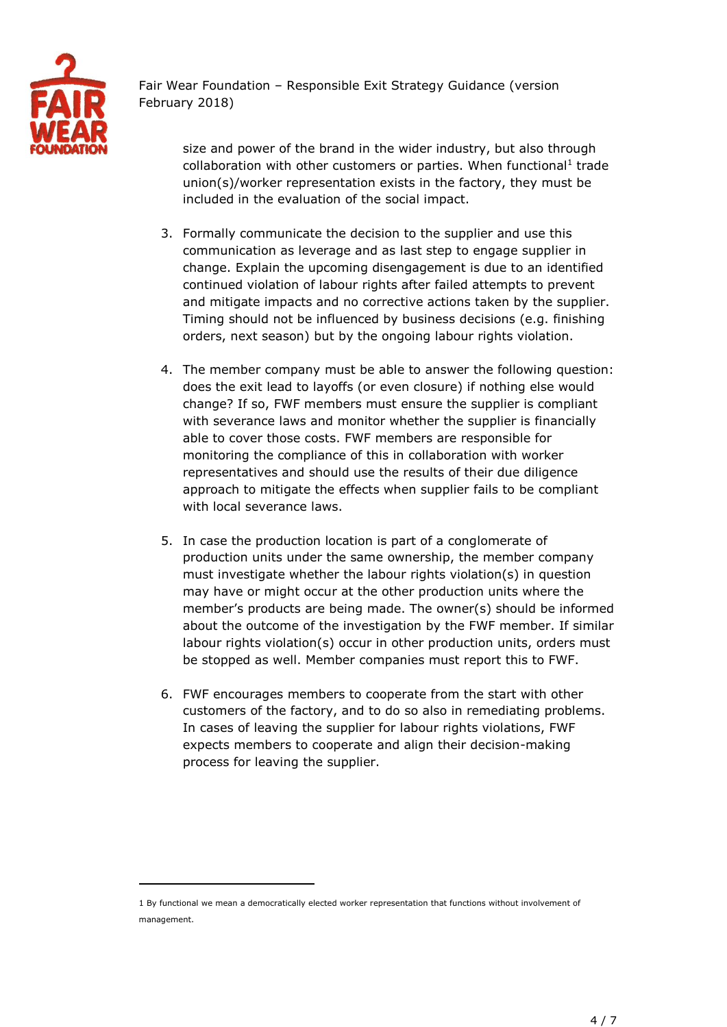

> size and power of the brand in the wider industry, but also through collaboration with other customers or parties. When functional<sup>1</sup> trade union(s)/worker representation exists in the factory, they must be included in the evaluation of the social impact.

- 3. Formally communicate the decision to the supplier and use this communication as leverage and as last step to engage supplier in change. Explain the upcoming disengagement is due to an identified continued violation of labour rights after failed attempts to prevent and mitigate impacts and no corrective actions taken by the supplier. Timing should not be influenced by business decisions (e.g. finishing orders, next season) but by the ongoing labour rights violation.
- 4. The member company must be able to answer the following question: does the exit lead to layoffs (or even closure) if nothing else would change? If so, FWF members must ensure the supplier is compliant with severance laws and monitor whether the supplier is financially able to cover those costs. FWF members are responsible for monitoring the compliance of this in collaboration with worker representatives and should use the results of their due diligence approach to mitigate the effects when supplier fails to be compliant with local severance laws.
- 5. In case the production location is part of a conglomerate of production units under the same ownership, the member company must investigate whether the labour rights violation(s) in question may have or might occur at the other production units where the member's products are being made. The owner(s) should be informed about the outcome of the investigation by the FWF member. If similar labour rights violation(s) occur in other production units, orders must be stopped as well. Member companies must report this to FWF.
- 6. FWF encourages members to cooperate from the start with other customers of the factory, and to do so also in remediating problems. In cases of leaving the supplier for labour rights violations, FWF expects members to cooperate and align their decision-making process for leaving the supplier.

 $\overline{a}$ 

<sup>1</sup> By functional we mean a democratically elected worker representation that functions without involvement of management.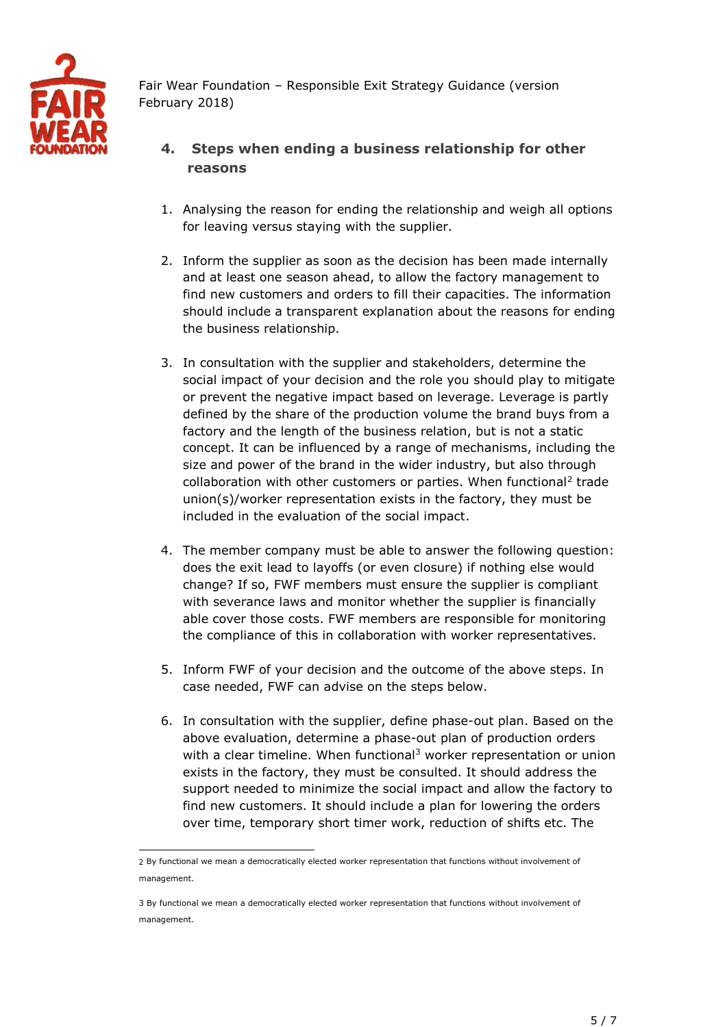

- **4. Steps when ending a business relationship for other reasons**
- 1. Analysing the reason for ending the relationship and weigh all options for leaving versus staying with the supplier.
- 2. Inform the supplier as soon as the decision has been made internally and at least one season ahead, to allow the factory management to find new customers and orders to fill their capacities. The information should include a transparent explanation about the reasons for ending the business relationship.
- 3. In consultation with the supplier and stakeholders, determine the social impact of your decision and the role you should play to mitigate or prevent the negative impact based on leverage. Leverage is partly defined by the share of the production volume the brand buys from a factory and the length of the business relation, but is not a static concept. It can be influenced by a range of mechanisms, including the size and power of the brand in the wider industry, but also through collaboration with other customers or parties. When functional<sup>2</sup> trade union(s)/worker representation exists in the factory, they must be included in the evaluation of the social impact.
- 4. The member company must be able to answer the following question: does the exit lead to layoffs (or even closure) if nothing else would change? If so, FWF members must ensure the supplier is compliant with severance laws and monitor whether the supplier is financially able cover those costs. FWF members are responsible for monitoring the compliance of this in collaboration with worker representatives.
- 5. Inform FWF of your decision and the outcome of the above steps. In case needed, FWF can advise on the steps below.
- 6. In consultation with the supplier, define phase-out plan. Based on the above evaluation, determine a phase-out plan of production orders with a clear timeline. When functional<sup>3</sup> worker representation or union exists in the factory, they must be consulted. It should address the support needed to minimize the social impact and allow the factory to find new customers. It should include a plan for lowering the orders over time, temporary short timer work, reduction of shifts etc. The

 $\overline{a}$ 2 By functional we mean a democratically elected worker representation that functions without involvement of management.

<sup>3</sup> By functional we mean a democratically elected worker representation that functions without involvement of management.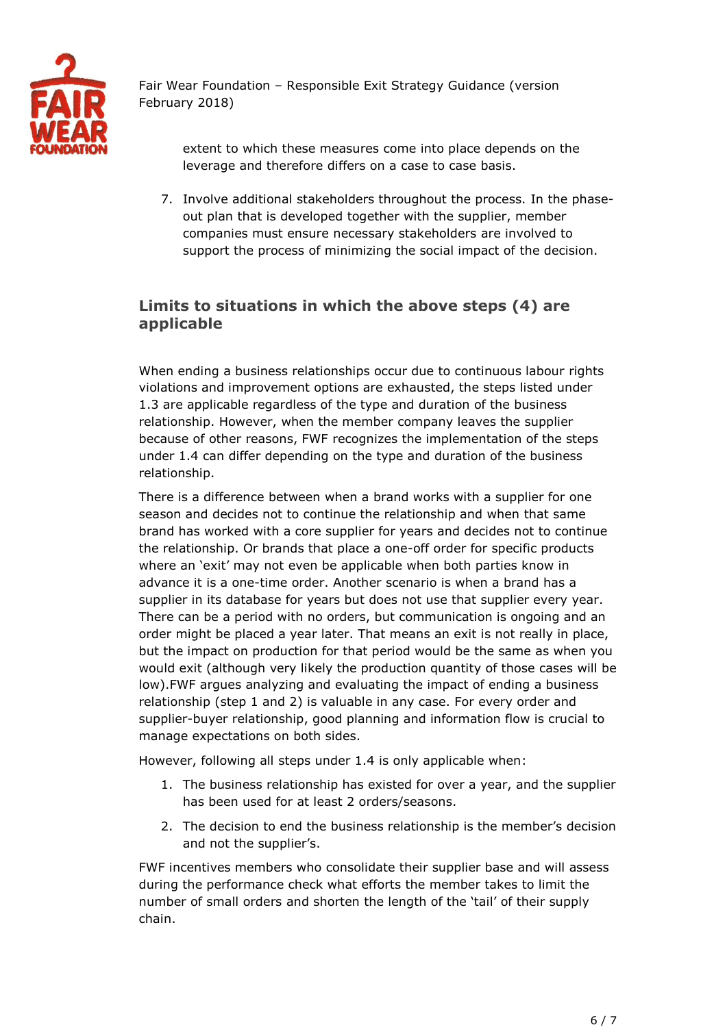

extent to which these measures come into place depends on the leverage and therefore differs on a case to case basis.

7. Involve additional stakeholders throughout the process. In the phaseout plan that is developed together with the supplier, member companies must ensure necessary stakeholders are involved to support the process of minimizing the social impact of the decision.

### **Limits to situations in which the above steps (4) are applicable**

When ending a business relationships occur due to continuous labour rights violations and improvement options are exhausted, the steps listed under 1.3 are applicable regardless of the type and duration of the business relationship. However, when the member company leaves the supplier because of other reasons, FWF recognizes the implementation of the steps under 1.4 can differ depending on the type and duration of the business relationship.

There is a difference between when a brand works with a supplier for one season and decides not to continue the relationship and when that same brand has worked with a core supplier for years and decides not to continue the relationship. Or brands that place a one-off order for specific products where an 'exit' may not even be applicable when both parties know in advance it is a one-time order. Another scenario is when a brand has a supplier in its database for years but does not use that supplier every year. There can be a period with no orders, but communication is ongoing and an order might be placed a year later. That means an exit is not really in place, but the impact on production for that period would be the same as when you would exit (although very likely the production quantity of those cases will be low).FWF argues analyzing and evaluating the impact of ending a business relationship (step 1 and 2) is valuable in any case. For every order and supplier-buyer relationship, good planning and information flow is crucial to manage expectations on both sides.

However, following all steps under 1.4 is only applicable when:

- 1. The business relationship has existed for over a year, and the supplier has been used for at least 2 orders/seasons.
- 2. The decision to end the business relationship is the member's decision and not the supplier's.

FWF incentives members who consolidate their supplier base and will assess during the performance check what efforts the member takes to limit the number of small orders and shorten the length of the 'tail' of their supply chain.